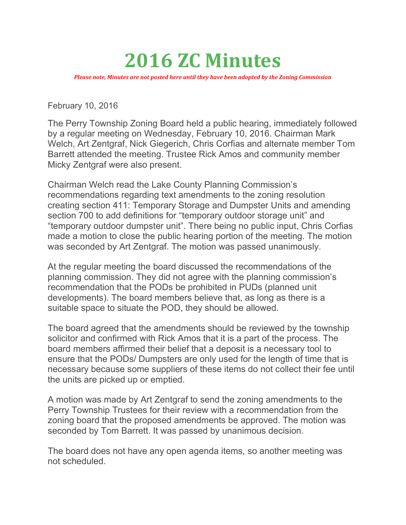## 2016 ZC Minutes

Please note, Minutes are not posted here until they have been adopted by the Zoning Commission

February 10, 2016

The Perry Township Zoning Board held a public hearing, immediately followed by a regular meeting on Wednesday, February 10, 2016. Chairman Mark Welch, Art Zentgraf, Nick Giegerich, Chris Corfias and alternate member Tom Barrett attended the meeting. Trustee Rick Amos and community member Micky Zentgraf were also present.

Chairman Welch read the Lake County Planning Commission's recommendations regarding text amendments to the zoning resolution creating section 411: Temporary Storage and Dumpster Units and amending section 700 to add definitions for "temporary outdoor storage unit" and "temporary outdoor dumpster unit". There being no public input, Chris Corfias made a motion to close the public hearing portion of the meeting. The motion was seconded by Art Zentgraf. The motion was passed unanimously.

At the regular meeting the board discussed the recommendations of the planning commission. They did not agree with the planning commission's recommendation that the PODs be prohibited in PUDs (planned unit developments). The board members believe that, as long as there is a suitable space to situate the POD, they should be allowed.

The board agreed that the amendments should be reviewed by the township solicitor and confirmed with Rick Amos that it is a part of the process. The board members affirmed their belief that a deposit is a necessary tool to ensure that the PODs/ Dumpsters are only used for the length of time that is necessary because some suppliers of these items do not collect their fee until the units are picked up or emptied.

A motion was made by Art Zentgraf to send the zoning amendments to the Perry Township Trustees for their review with a recommendation from the zoning board that the proposed amendments be approved. The motion was seconded by Tom Barrett. It was passed by unanimous decision.

The board does not have any open agenda items, so another meeting was not scheduled.